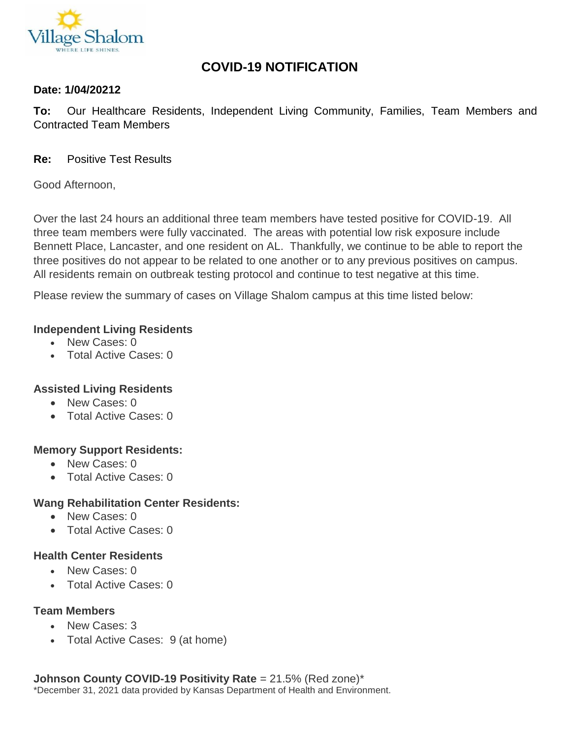

# **COVID-19 NOTIFICATION**

#### **Date: 1/04/20212**

**To:** Our Healthcare Residents, Independent Living Community, Families, Team Members and Contracted Team Members

**Re:** Positive Test Results

Good Afternoon,

Over the last 24 hours an additional three team members have tested positive for COVID-19. All three team members were fully vaccinated. The areas with potential low risk exposure include Bennett Place, Lancaster, and one resident on AL. Thankfully, we continue to be able to report the three positives do not appear to be related to one another or to any previous positives on campus. All residents remain on outbreak testing protocol and continue to test negative at this time.

Please review the summary of cases on Village Shalom campus at this time listed below:

#### **Independent Living Residents**

- New Cases: 0
- Total Active Cases: 0

#### **Assisted Living Residents**

- New Cases: 0
- Total Active Cases: 0

## **Memory Support Residents:**

- New Cases: 0
- Total Active Cases: 0

## **Wang Rehabilitation Center Residents:**

- New Cases: 0
- Total Active Cases: 0

## **Health Center Residents**

- New Cases: 0
- Total Active Cases: 0

## **Team Members**

- New Cases: 3
- Total Active Cases: 9 (at home)

**Johnson County COVID-19 Positivity Rate** = 21.5% (Red zone)\* \*December 31, 2021 data provided by Kansas Department of Health and Environment.